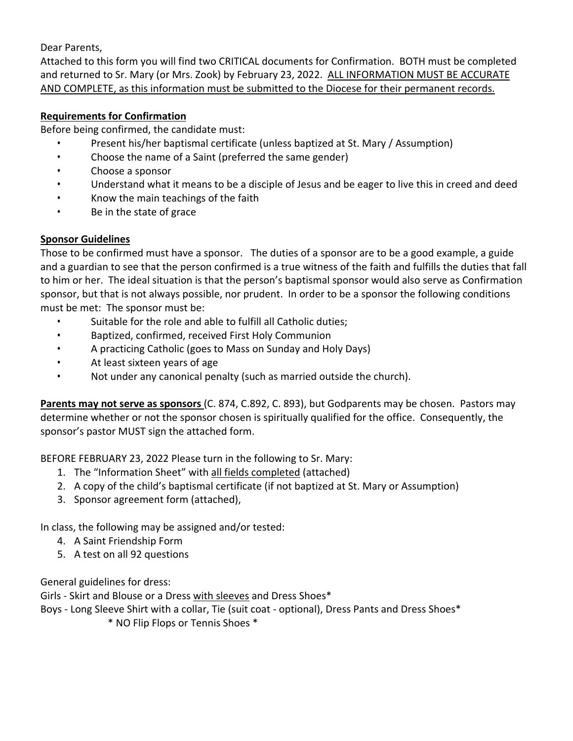## Dear Parents,

Attached to this form you will find two CRITICAL documents for Confirmation. BOTH must be completed and returned to Sr. Mary (or Mrs. Zook) by February 23, 2022. ALL INFORMATION MUST BE ACCURATE AND COMPLETE, as this information must be submitted to the Diocese for their permanent records.

## **Requirements for Confirmation**

Before being confirmed, the candidate must:

- Present his/her baptismal certificate (unless baptized at St. Mary / Assumption)
- Choose the name of a Saint (preferred the same gender)
- Choose a sponsor
- Understand what it means to be a disciple of Jesus and be eager to live this in creed and deed
- Know the main teachings of the faith
- Be in the state of grace

# **Sponsor Guidelines**

Those to be confirmed must have a sponsor. The duties of a sponsor are to be a good example, a guide and a guardian to see that the person confirmed is a true witness of the faith and fulfills the duties that fall to him or her. The ideal situation is that the person's baptismal sponsor would also serve as Confirmation sponsor, but that is not always possible, nor prudent. In order to be a sponsor the following conditions must be met: The sponsor must be:

- Suitable for the role and able to fulfill all Catholic duties;
- Baptized, confirmed, received First Holy Communion
- A practicing Catholic (goes to Mass on Sunday and Holy Days)
- At least sixteen years of age
- Not under any canonical penalty (such as married outside the church).

**Parents may not serve as sponsors** (C. 874, C.892, C. 893), but Godparents may be chosen. Pastors may determine whether or not the sponsor chosen is spiritually qualified for the office. Consequently, the sponsor's pastor MUST sign the attached form.

BEFORE FEBRUARY 23, 2022 Please turn in the following to Sr. Mary:

- 1. The "Information Sheet" with all fields completed (attached)
- 2. A copy of the child's baptismal certificate (if not baptized at St. Mary or Assumption)
- 3. Sponsor agreement form (attached),

In class, the following may be assigned and/or tested:

- 4. A Saint Friendship Form
- 5. A test on all 92 questions

General guidelines for dress:

Girls - Skirt and Blouse or a Dress with sleeves and Dress Shoes\*

Boys - Long Sleeve Shirt with a collar, Tie (suit coat - optional), Dress Pants and Dress Shoes\*

\* NO Flip Flops or Tennis Shoes \*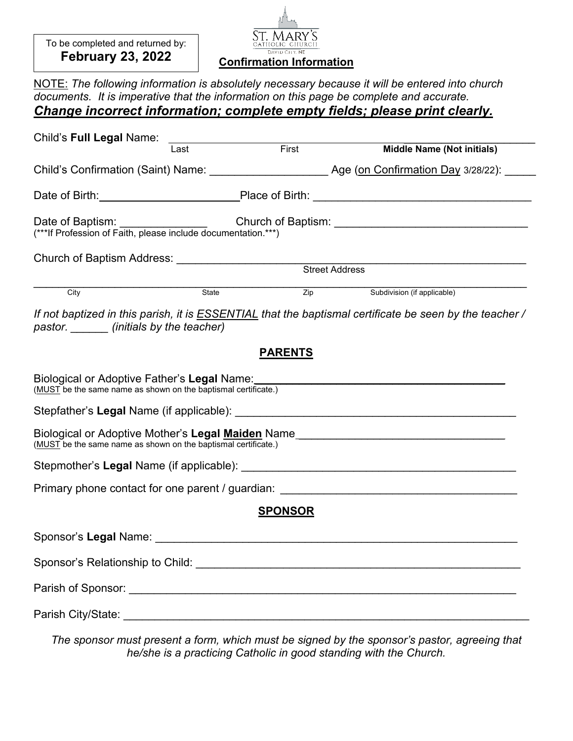To be completed and returned by: **February 23, 2022**



# NOTE: *The following information is absolutely necessary because it will be entered into church documents. It is imperative that the information on this page be complete and accurate. Change incorrect information; complete empty fields; please print clearly.*

| Child's Full Legal Name:                                                                                                                                                          |       |                |                                                                                                                                                                                                                          |
|-----------------------------------------------------------------------------------------------------------------------------------------------------------------------------------|-------|----------------|--------------------------------------------------------------------------------------------------------------------------------------------------------------------------------------------------------------------------|
|                                                                                                                                                                                   | Last  | First          | <b>Middle Name (Not initials)</b>                                                                                                                                                                                        |
|                                                                                                                                                                                   |       |                |                                                                                                                                                                                                                          |
|                                                                                                                                                                                   |       |                |                                                                                                                                                                                                                          |
|                                                                                                                                                                                   |       |                |                                                                                                                                                                                                                          |
| Church of Baptism Address: ________________________                                                                                                                               |       |                |                                                                                                                                                                                                                          |
|                                                                                                                                                                                   |       |                | Street Address                                                                                                                                                                                                           |
| $\overline{City}$                                                                                                                                                                 | State |                | <b>Example 2</b><br><b>Example 2</b><br><b>Example 2</b><br><b>Example 2</b><br><b>Example 2</b><br><b>Example 2</b><br><b>Example 2</b><br><b>Example 2</b><br><b>Example 2</b><br><b>Example 2</b><br><b>Example 2</b> |
| pastor. _______ (initials by the teacher)                                                                                                                                         |       |                | If not baptized in this parish, it is <b>ESSENTIAL</b> that the baptismal certificate be seen by the teacher /                                                                                                           |
|                                                                                                                                                                                   |       | <b>PARENTS</b> |                                                                                                                                                                                                                          |
| Biological or Adoptive Father's Legal Name: Manuscription of the Manuscription of Biological or Adoptive Father<br>(MUST be the same name as shown on the baptismal certificate.) |       |                |                                                                                                                                                                                                                          |
|                                                                                                                                                                                   |       |                |                                                                                                                                                                                                                          |
| (MUST be the same name as shown on the baptismal certificate.)                                                                                                                    |       |                | Biological or Adoptive Mother's Legal Maiden Name                                                                                                                                                                        |
|                                                                                                                                                                                   |       |                |                                                                                                                                                                                                                          |
|                                                                                                                                                                                   |       |                | Primary phone contact for one parent / guardian: example and all the control of the control of the primary phone contact for one parent / guardian:                                                                      |
|                                                                                                                                                                                   |       | <b>SPONSOR</b> |                                                                                                                                                                                                                          |
|                                                                                                                                                                                   |       |                |                                                                                                                                                                                                                          |
|                                                                                                                                                                                   |       |                |                                                                                                                                                                                                                          |
|                                                                                                                                                                                   |       |                |                                                                                                                                                                                                                          |
|                                                                                                                                                                                   |       |                |                                                                                                                                                                                                                          |

*The sponsor must present a form, which must be signed by the sponsor's pastor, agreeing that he/she is a practicing Catholic in good standing with the Church.*